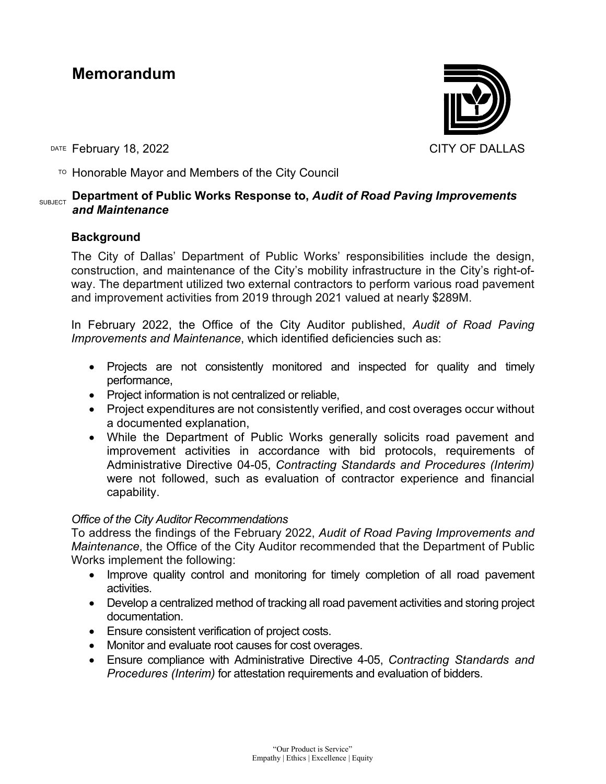# **Memorandum**

DATE February 18, 2022 **CITY OF DALLAS** 

 $\overline{P}$  Honorable Mayor and Members of the City Council

#### SUBJECT **Department of Public Works Response to,** *Audit of Road Paving Improvements and Maintenance*

### **Background**

The City of Dallas' Department of Public Works' responsibilities include the design, construction, and maintenance of the City's mobility infrastructure in the City's right-ofway. The department utilized two external contractors to perform various road pavement and improvement activities from 2019 through 2021 valued at nearly \$289M.

In February 2022, the Office of the City Auditor published, *Audit of Road Paving Improvements and Maintenance*, which identified deficiencies such as:

- Projects are not consistently monitored and inspected for quality and timely performance,
- Project information is not centralized or reliable,
- Project expenditures are not consistently verified, and cost overages occur without a documented explanation,
- While the Department of Public Works generally solicits road pavement and improvement activities in accordance with bid protocols, requirements of Administrative Directive 04-05, *Contracting Standards and Procedures (Interim)*  were not followed, such as evaluation of contractor experience and financial capability.

#### *Office of the City Auditor Recommendations*

To address the findings of the February 2022, *Audit of Road Paving Improvements and Maintenance*, the Office of the City Auditor recommended that the Department of Public Works implement the following:

- Improve quality control and monitoring for timely completion of all road pavement activities.
- Develop a centralized method of tracking all road pavement activities and storing project documentation.
- Ensure consistent verification of project costs.
- Monitor and evaluate root causes for cost overages.
- Ensure compliance with Administrative Directive 4-05, *Contracting Standards and Procedures (Interim)* for attestation requirements and evaluation of bidders.

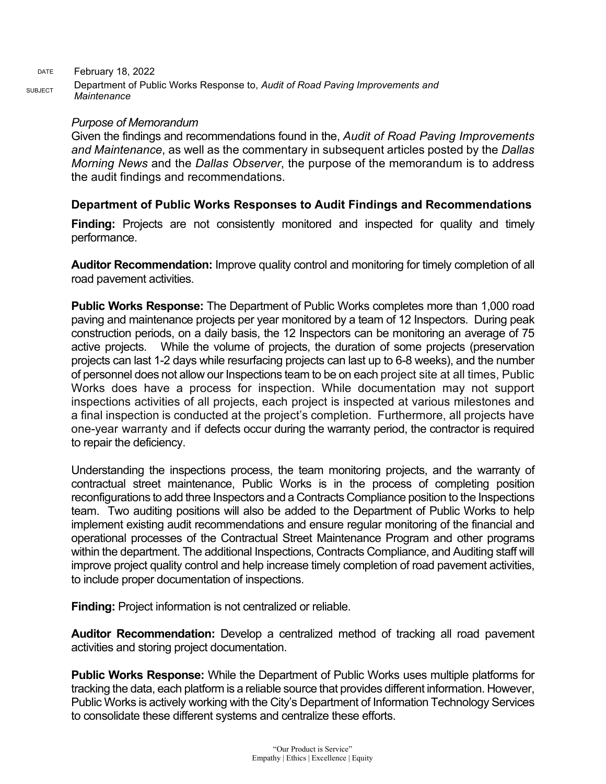DATE February 18, 2022 SUBJECT Department of Public Works Response to, *Audit of Road Paving Improvements and Maintenance*

#### *Purpose of Memorandum*

Given the findings and recommendations found in the, *Audit of Road Paving Improvements and Maintenance*, as well as the commentary in subsequent articles posted by the *Dallas Morning News* and the *Dallas Observer*, the purpose of the memorandum is to address the audit findings and recommendations.

#### **Department of Public Works Responses to Audit Findings and Recommendations**

**Finding:** Projects are not consistently monitored and inspected for quality and timely performance.

**Auditor Recommendation:** Improve quality control and monitoring for timely completion of all road pavement activities.

**Public Works Response:** The Department of Public Works completes more than 1,000 road paving and maintenance projects per year monitored by a team of 12 Inspectors. During peak construction periods, on a daily basis, the 12 Inspectors can be monitoring an average of 75 active projects. While the volume of projects, the duration of some projects (preservation projects can last 1-2 days while resurfacing projects can last up to 6-8 weeks), and the number of personnel does not allow our Inspections team to be on each project site at all times, Public Works does have a process for inspection. While documentation may not support inspections activities of all projects, each project is inspected at various milestones and a final inspection is conducted at the project's completion. Furthermore, all projects have one-year warranty and if defects occur during the warranty period, the contractor is required to repair the deficiency.

Understanding the inspections process, the team monitoring projects, and the warranty of contractual street maintenance, Public Works is in the process of completing position reconfigurations to add three Inspectors and a Contracts Compliance position to the Inspections team. Two auditing positions will also be added to the Department of Public Works to help implement existing audit recommendations and ensure regular monitoring of the financial and operational processes of the Contractual Street Maintenance Program and other programs within the department. The additional Inspections, Contracts Compliance, and Auditing staff will improve project quality control and help increase timely completion of road pavement activities, to include proper documentation of inspections.

**Finding:** Project information is not centralized or reliable.

**Auditor Recommendation:** Develop a centralized method of tracking all road pavement activities and storing project documentation.

**Public Works Response:** While the Department of Public Works uses multiple platforms for tracking the data, each platform is a reliable source that provides different information. However, Public Works is actively working with the City's Department of Information Technology Services to consolidate these different systems and centralize these efforts.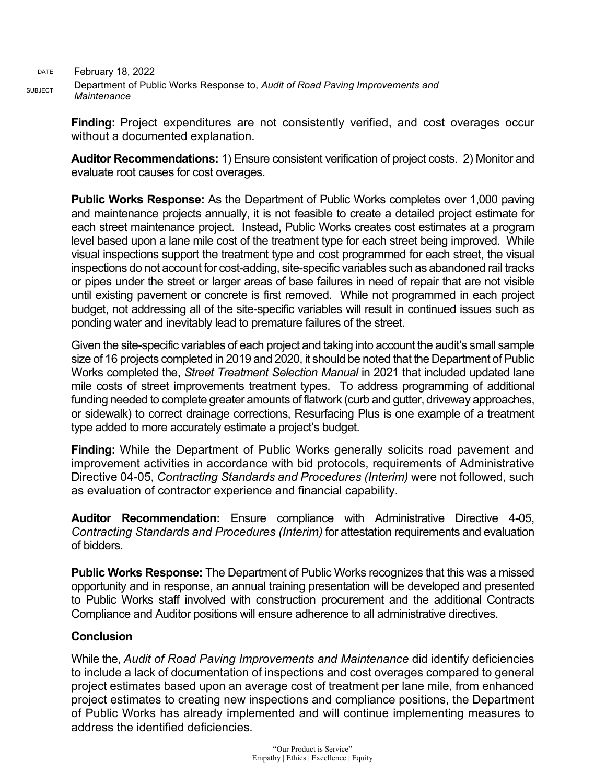DATE February 18, 2022 SUBJECT Department of Public Works Response to, *Audit of Road Paving Improvements and Maintenance*

> **Finding:** Project expenditures are not consistently verified, and cost overages occur without a documented explanation.

> **Auditor Recommendations:** 1) Ensure consistent verification of project costs. 2) Monitor and evaluate root causes for cost overages.

> **Public Works Response:** As the Department of Public Works completes over 1,000 paving and maintenance projects annually, it is not feasible to create a detailed project estimate for each street maintenance project. Instead, Public Works creates cost estimates at a program level based upon a lane mile cost of the treatment type for each street being improved. While visual inspections support the treatment type and cost programmed for each street, the visual inspections do not account for cost-adding, site-specific variables such as abandoned rail tracks or pipes under the street or larger areas of base failures in need of repair that are not visible until existing pavement or concrete is first removed. While not programmed in each project budget, not addressing all of the site-specific variables will result in continued issues such as ponding water and inevitably lead to premature failures of the street.

> Given the site-specific variables of each project and taking into account the audit's small sample size of 16 projects completed in 2019 and 2020, it should be noted that the Department of Public Works completed the, *Street Treatment Selection Manual* in 2021 that included updated lane mile costs of street improvements treatment types. To address programming of additional funding needed to complete greater amounts of flatwork (curb and gutter, driveway approaches, or sidewalk) to correct drainage corrections, Resurfacing Plus is one example of a treatment type added to more accurately estimate a project's budget.

> **Finding:** While the Department of Public Works generally solicits road pavement and improvement activities in accordance with bid protocols, requirements of Administrative Directive 04-05, *Contracting Standards and Procedures (Interim)* were not followed, such as evaluation of contractor experience and financial capability.

> **Auditor Recommendation:** Ensure compliance with Administrative Directive 4-05, *Contracting Standards and Procedures (Interim)* for attestation requirements and evaluation of bidders.

> **Public Works Response:** The Department of Public Works recognizes that this was a missed opportunity and in response, an annual training presentation will be developed and presented to Public Works staff involved with construction procurement and the additional Contracts Compliance and Auditor positions will ensure adherence to all administrative directives.

## **Conclusion**

While the, *Audit of Road Paving Improvements and Maintenance* did identify deficiencies to include a lack of documentation of inspections and cost overages compared to general project estimates based upon an average cost of treatment per lane mile, from enhanced project estimates to creating new inspections and compliance positions, the Department of Public Works has already implemented and will continue implementing measures to address the identified deficiencies.